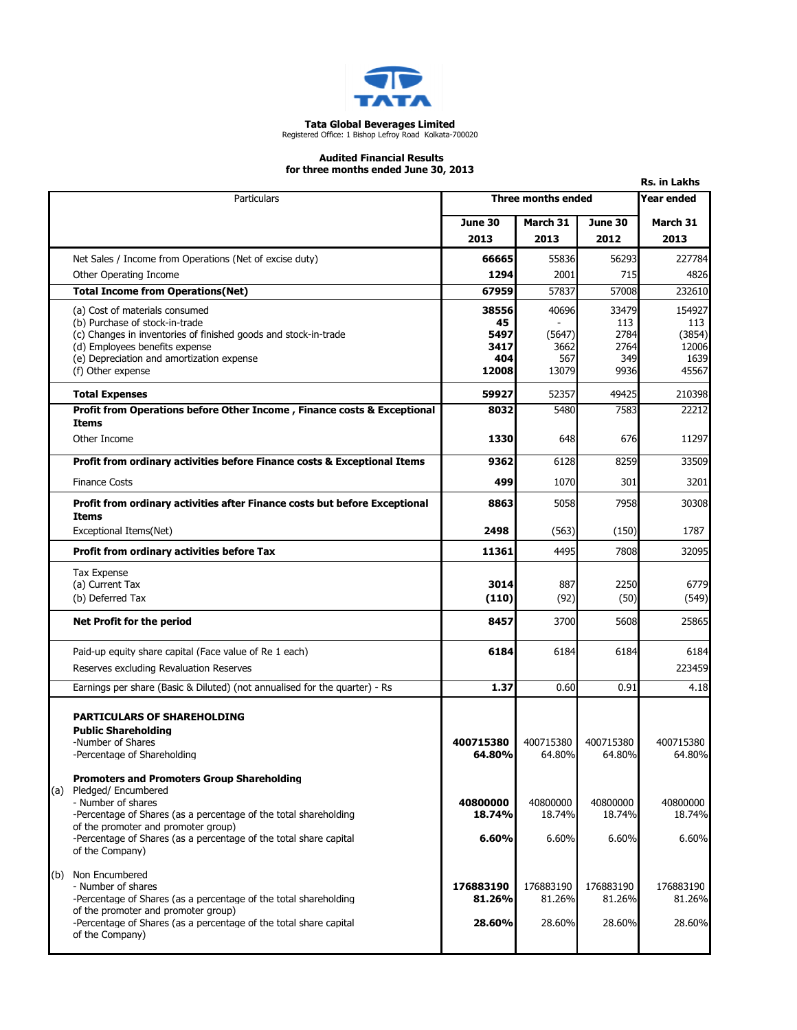

## Tata Global Beverages Limited Registered Office: 1 Bishop Lefroy Road Kolkata-700020

## Audited Financial Results for three months ended June 30, 2013

| for three months ended June 30, 2013<br><b>Rs. in Lakhs</b>                                             |                     |                    |                    |                    |  |
|---------------------------------------------------------------------------------------------------------|---------------------|--------------------|--------------------|--------------------|--|
| Particulars                                                                                             | Three months ended  |                    |                    | Year ended         |  |
|                                                                                                         | June 30             | March 31           | June 30            | March 31           |  |
|                                                                                                         | 2013                | 2013               | 2012               | 2013               |  |
| Net Sales / Income from Operations (Net of excise duty)                                                 | 66665               | 55836              | 56293              | 227784             |  |
| Other Operating Income                                                                                  | 1294                | 2001               | 715                | 4826               |  |
| <b>Total Income from Operations(Net)</b>                                                                | 67959               | 57837              | 57008              | 232610             |  |
| (a) Cost of materials consumed                                                                          | 38556               | 40696              | 33479              | 154927             |  |
| (b) Purchase of stock-in-trade                                                                          | 45                  |                    | 113                | 113                |  |
| (c) Changes in inventories of finished goods and stock-in-trade<br>(d) Employees benefits expense       | 5497<br>3417        | (5647)<br>3662     | 2784<br>2764       | (3854)<br>12006    |  |
| (e) Depreciation and amortization expense                                                               | 404                 | 567                | 349                | 1639               |  |
| (f) Other expense                                                                                       | 12008               | 13079              | 9936               | 45567              |  |
| <b>Total Expenses</b>                                                                                   | 59927               | 52357              | 49425              | 210398             |  |
| Profit from Operations before Other Income, Finance costs & Exceptional                                 | 8032                | 5480               | 7583               | 22212              |  |
| <b>Items</b><br>Other Income                                                                            | 1330                |                    |                    | 11297              |  |
|                                                                                                         |                     | 648                | 676                |                    |  |
| Profit from ordinary activities before Finance costs & Exceptional Items                                | 9362                | 6128               | 8259               | 33509              |  |
| <b>Finance Costs</b>                                                                                    | 499                 | 1070               | 301                | 3201               |  |
| Profit from ordinary activities after Finance costs but before Exceptional<br><b>Items</b>              | 8863                | 5058               | 7958               | 30308              |  |
| Exceptional Items(Net)                                                                                  | 2498                | (563)              | (150)              | 1787               |  |
| Profit from ordinary activities before Tax                                                              | 11361               | 4495               | 7808               | 32095              |  |
| <b>Tax Expense</b>                                                                                      |                     |                    |                    |                    |  |
| (a) Current Tax                                                                                         | 3014                | 887                | 2250               | 6779               |  |
| (b) Deferred Tax                                                                                        | (110)               | (92)               | (50)               | (549)              |  |
| Net Profit for the period                                                                               | 8457                | 3700               | 5608               | 25865              |  |
| Paid-up equity share capital (Face value of Re 1 each)                                                  | 6184                | 6184               | 6184               | 6184               |  |
| Reserves excluding Revaluation Reserves                                                                 |                     |                    |                    | 223459             |  |
| Earnings per share (Basic & Diluted) (not annualised for the quarter) - Rs                              | 1.37                | 0.60               | 0.91               | 4.18               |  |
| <b>PARTICULARS OF SHAREHOLDING</b>                                                                      |                     |                    |                    |                    |  |
| <b>Public Shareholding</b><br>-Number of Shares                                                         | 400715380           | 400715380          | 400715380          | 400715380          |  |
| -Percentage of Shareholding                                                                             | 64.80%              | 64.80%             | 64.80%             | 64.80%             |  |
| <b>Promoters and Promoters Group Shareholding</b>                                                       |                     |                    |                    |                    |  |
| (a) Pledged/Encumbered                                                                                  |                     |                    |                    |                    |  |
| - Number of shares<br>-Percentage of Shares (as a percentage of the total shareholding                  | 40800000<br>18.74%  | 40800000<br>18.74% | 40800000<br>18.74% | 40800000<br>18.74% |  |
| of the promoter and promoter group)                                                                     |                     |                    |                    |                    |  |
| -Percentage of Shares (as a percentage of the total share capital<br>of the Company)                    | 6.60%               | 6.60%              | 6.60%              | 6.60%              |  |
| (b) Non Encumbered                                                                                      |                     |                    |                    |                    |  |
| - Number of shares                                                                                      | 176883190<br>81.26% | 176883190          | 176883190          | 176883190          |  |
| -Percentage of Shares (as a percentage of the total shareholding<br>of the promoter and promoter group) |                     | 81.26%             | 81.26%             | 81.26%             |  |
| -Percentage of Shares (as a percentage of the total share capital                                       | 28.60%              | 28.60%             | 28.60%             | 28.60%             |  |
| of the Company)                                                                                         |                     |                    |                    |                    |  |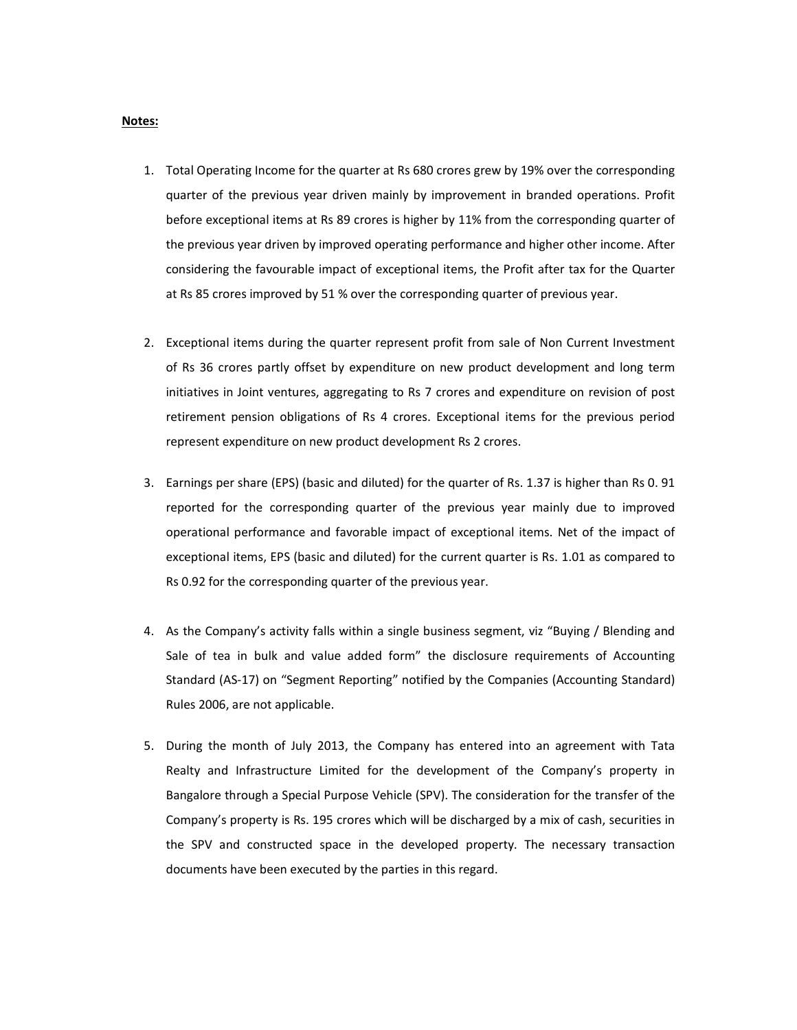## Notes:

- 1. Total Operating Income for the quarter at Rs 680 crores grew by 19% over the corresponding quarter of the previous year driven mainly by improvement in branded operations. Profit before exceptional items at Rs 89 crores is higher by 11% from the corresponding quarter of the previous year driven by improved operating performance and higher other income. After considering the favourable impact of exceptional items, the Profit after tax for the Quarter at Rs 85 crores improved by 51 % over the corresponding quarter of previous year.
- 2. Exceptional items during the quarter represent profit from sale of Non Current Investment of Rs 36 crores partly offset by expenditure on new product development and long term initiatives in Joint ventures, aggregating to Rs 7 crores and expenditure on revision of post retirement pension obligations of Rs 4 crores. Exceptional items for the previous period represent expenditure on new product development Rs 2 crores.
- 3. Earnings per share (EPS) (basic and diluted) for the quarter of Rs. 1.37 is higher than Rs 0. 91 reported for the corresponding quarter of the previous year mainly due to improved operational performance and favorable impact of exceptional items. Net of the impact of exceptional items, EPS (basic and diluted) for the current quarter is Rs. 1.01 as compared to Rs 0.92 for the corresponding quarter of the previous year.
- 4. As the Company's activity falls within a single business segment, viz "Buying / Blending and Sale of tea in bulk and value added form" the disclosure requirements of Accounting Standard (AS-17) on "Segment Reporting" notified by the Companies (Accounting Standard) Rules 2006, are not applicable.
- 5. During the month of July 2013, the Company has entered into an agreement with Tata Realty and Infrastructure Limited for the development of the Company's property in Bangalore through a Special Purpose Vehicle (SPV). The consideration for the transfer of the Company's property is Rs. 195 crores which will be discharged by a mix of cash, securities in the SPV and constructed space in the developed property. The necessary transaction documents have been executed by the parties in this regard.